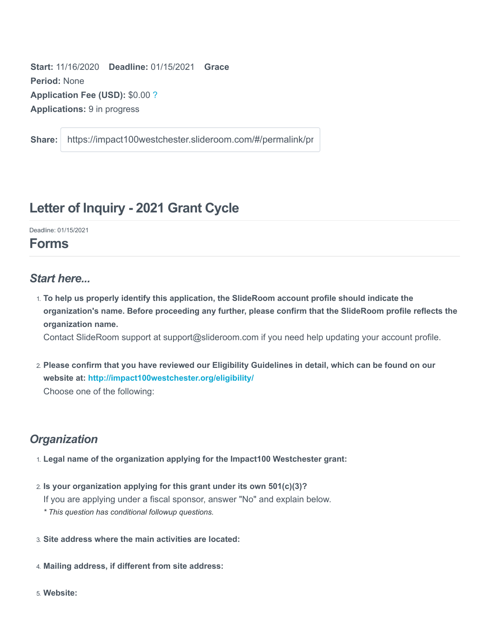**Start:** 11/16/2020 **Deadline:** 01/15/2021 **Grace Period:** None **Application Fee (USD):** \$0.00 ? **Applications:** 9 in progress

**Share:** https://impact100westchester.slideroom.com/#/permalink/pr

# **Letter of Inquiry - 2021 Grant Cycle**

Deadline: 01/15/2021

## **Forms**

### *Start here...*

1. **To help us properly identify this application, the SlideRoom account profile should indicate the organization's name. Before proceeding any further, please confirm that the SlideRoom profile reflects the organization name.**

Contact SlideRoom support at support@slideroom.com if you need help updating your account profile.

2. **Please confirm that you have reviewed our Eligibility Guidelines in detail, which can be found on our website at:<http://impact100westchester.org/eligibility/>** Choose one of the following:

### *Organization*

- 1. **Legal name of the organization applying for the Impact100 Westchester grant:**
- 2. **Is your organization applying for this grant under its own 501(c)(3)?** If you are applying under a fiscal sponsor, answer "No" and explain below. *\* This question has conditional followup questions.*
- 3. **Site address where the main activities are located:**
- 4. **Mailing address, if different from site address:**
- 5. **Website:**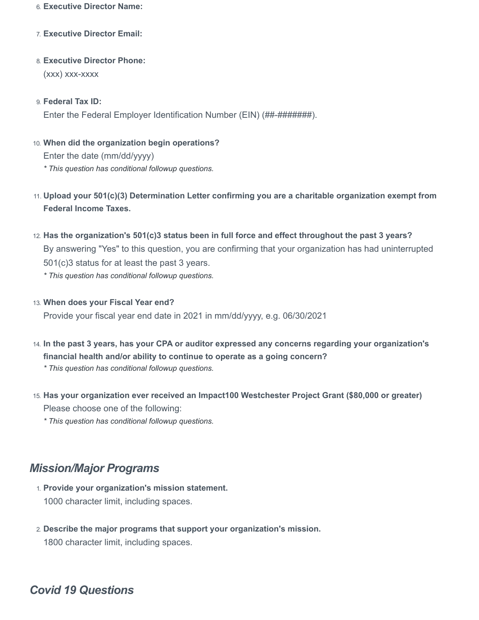#### 6. **Executive Director Name:**

- 7. **Executive Director Email:**
- 8. **Executive Director Phone:** (xxx) xxx-xxxx
- 9. **Federal Tax ID:** Enter the Federal Employer Identification Number (EIN) (##-#########).
- 10. **When did the organization begin operations?** Enter the date (mm/dd/yyyy) *\* This question has conditional followup questions.*
- 11. **Upload your 501(c)(3) Determination Letter confirming you are a charitable organization exempt from Federal Income Taxes.**
- 12. **Has the organization's 501(c)3 status been in full force and effect throughout the past 3 years?** By answering "Yes" to this question, you are confirming that your organization has had uninterrupted 501(c)3 status for at least the past 3 years.
	- *\* This question has conditional followup questions.*
- 13. **When does your Fiscal Year end?** Provide your fiscal year end date in 2021 in mm/dd/yyyy, e.g. 06/30/2021
- 14. **In the past 3 years, has your CPA or auditor expressed any concerns regarding your organization's financial health and/or ability to continue to operate as a going concern?**
	- *\* This question has conditional followup questions.*
- 15. **Has your organization ever received an Impact100 Westchester Project Grant (\$80,000 or greater)** Please choose one of the following:
	- *\* This question has conditional followup questions.*

## *Mission/Major Programs*

- 1. **Provide your organization's mission statement.** 1000 character limit, including spaces.
- 2. **Describe the major programs that support your organization's mission.** 1800 character limit, including spaces.

## *Covid 19 Questions*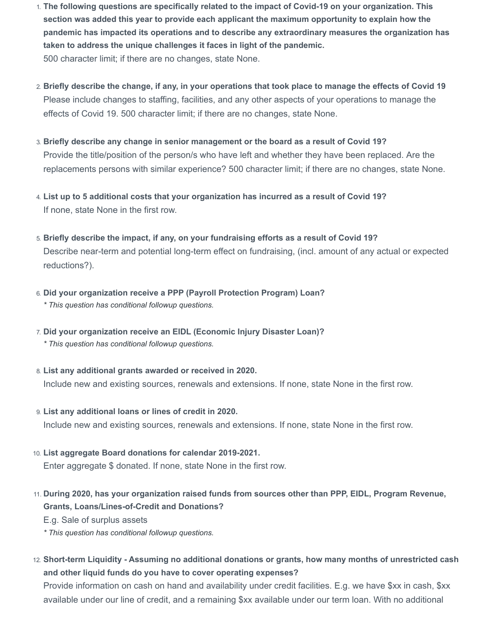- 1. **The following questions are specifically related to the impact of Covid-19 on your organization. This section was added this year to provide each applicant the maximum opportunity to explain how the pandemic has impacted its operations and to describe any extraordinary measures the organization has taken to address the unique challenges it faces in light of the pandemic.** 500 character limit; if there are no changes, state None.
- 2. **Briefly describe the change, if any, in your operations that took place to manage the effects of Covid 19** Please include changes to staffing, facilities, and any other aspects of your operations to manage the effects of Covid 19. 500 character limit; if there are no changes, state None.
- 3. **Briefly describe any change in senior management or the board as a result of Covid 19?** Provide the title/position of the person/s who have left and whether they have been replaced. Are the replacements persons with similar experience? 500 character limit; if there are no changes, state None.
- 4. **List up to 5 additional costs that your organization has incurred as a result of Covid 19?** If none, state None in the first row.
- 5. **Briefly describe the impact, if any, on your fundraising efforts as a result of Covid 19?** Describe near-term and potential long-term effect on fundraising, (incl. amount of any actual or expected reductions?).
- 6. **Did your organization receive a PPP (Payroll Protection Program) Loan?** *\* This question has conditional followup questions.*
- 7. **Did your organization receive an EIDL (Economic Injury Disaster Loan)?** *\* This question has conditional followup questions.*
- 8. **List any additional grants awarded or received in 2020.** Include new and existing sources, renewals and extensions. If none, state None in the first row.
- 9. **List any additional loans or lines of credit in 2020.** Include new and existing sources, renewals and extensions. If none, state None in the first row.
- 10. **List aggregate Board donations for calendar 2019-2021.** Enter aggregate \$ donated. If none, state None in the first row.
- 11. **During 2020, has your organization raised funds from sources other than PPP, EIDL, Program Revenue, Grants, Loans/Lines-of-Credit and Donations?**

E.g. Sale of surplus assets

*\* This question has conditional followup questions.*

12. **Short-term Liquidity - Assuming no additional donations or grants, how many months of unrestricted cash and other liquid funds do you have to cover operating expenses?**

Provide information on cash on hand and availability under credit facilities. E.g. we have \$xx in cash, \$xx available under our line of credit, and a remaining \$xx available under our term loan. With no additional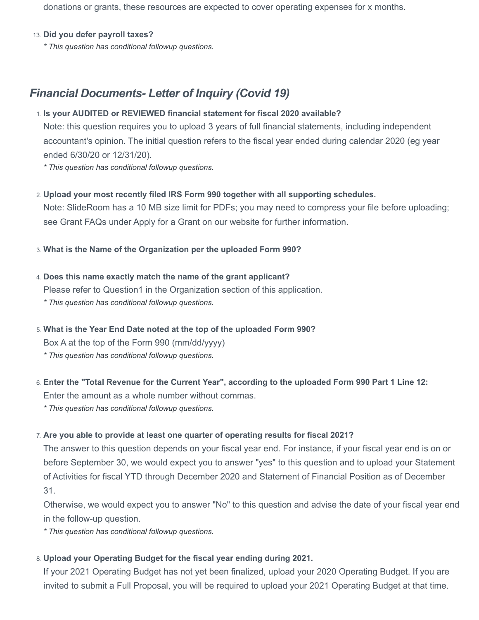donations or grants, these resources are expected to cover operating expenses for x months.

#### 13. **Did you defer payroll taxes?**

*\* This question has conditional followup questions.*

### *Financial Documents- Letter of Inquiry (Covid 19)*

#### 1. **Is your AUDITED or REVIEWED financial statement for fiscal 2020 available?**

Note: this question requires you to upload 3 years of full financial statements, including independent accountant's opinion. The initial question refers to the fiscal year ended during calendar 2020 (eg year ended 6/30/20 or 12/31/20).

*\* This question has conditional followup questions.*

#### 2. **Upload your most recently filed IRS Form 990 together with all supporting schedules.**

Note: SlideRoom has a 10 MB size limit for PDFs; you may need to compress your file before uploading; see Grant FAQs under Apply for a Grant on our website for further information.

#### 3. **What is the Name of the Organization per the uploaded Form 990?**

### 4. **Does this name exactly match the name of the grant applicant?** Please refer to Question1 in the Organization section of this application. *\* This question has conditional followup questions.*

5. **What is the Year End Date noted at the top of the uploaded Form 990?**

Box A at the top of the Form 990 (mm/dd/yyyy)

*\* This question has conditional followup questions.*

# 6. **Enter the "Total Revenue for the Current Year", according to the uploaded Form 990 Part 1 Line 12:**

Enter the amount as a whole number without commas.

*\* This question has conditional followup questions.*

#### 7. **Are you able to provide at least one quarter of operating results for fiscal 2021?**

The answer to this question depends on your fiscal year end. For instance, if your fiscal year end is on or before September 30, we would expect you to answer "yes" to this question and to upload your Statement of Activities for fiscal YTD through December 2020 and Statement of Financial Position as of December 31.

Otherwise, we would expect you to answer "No" to this question and advise the date of your fiscal year end in the follow-up question.

*\* This question has conditional followup questions.*

#### 8. **Upload your Operating Budget for the fiscal year ending during 2021.**

If your 2021 Operating Budget has not yet been finalized, upload your 2020 Operating Budget. If you are invited to submit a Full Proposal, you will be required to upload your 2021 Operating Budget at that time.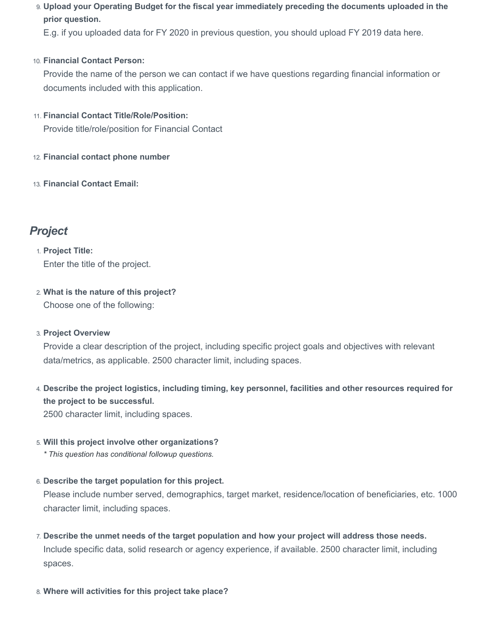9. **Upload your Operating Budget for the fiscal year immediately preceding the documents uploaded in the prior question.**

E.g. if you uploaded data for FY 2020 in previous question, you should upload FY 2019 data here.

#### 10. **Financial Contact Person:**

Provide the name of the person we can contact if we have questions regarding financial information or documents included with this application.

#### 11. **Financial Contact Title/Role/Position:**

Provide title/role/position for Financial Contact

- 12. **Financial contact phone number**
- 13. **Financial Contact Email:**

## *Project*

1. **Project Title:** Enter the title of the project.

2. **What is the nature of this project?** Choose one of the following:

### 3. **Project Overview**

Provide a clear description of the project, including specific project goals and objectives with relevant data/metrics, as applicable. 2500 character limit, including spaces.

4. **Describe the project logistics, including timing, key personnel, facilities and other resources required for the project to be successful.**

2500 character limit, including spaces.

#### 5. **Will this project involve other organizations?**

*\* This question has conditional followup questions.*

6. **Describe the target population for this project.**

Please include number served, demographics, target market, residence/location of beneficiaries, etc. 1000 character limit, including spaces.

- 7. **Describe the unmet needs of the target population and how your project will address those needs.** Include specific data, solid research or agency experience, if available. 2500 character limit, including spaces.
- 8. **Where will activities for this project take place?**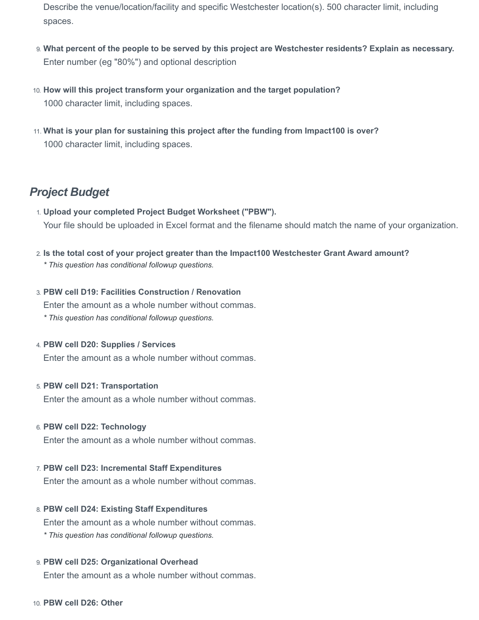- Describe the venue/location/facility and specific Westchester location(s). 500 character limit, including spaces.
- 9. **What percent of the people to be served by this project are Westchester residents? Explain as necessary.** Enter number (eg "80%") and optional description
- 10. **How will this project transform your organization and the target population?** 1000 character limit, including spaces.
- 11. **What is your plan for sustaining this project after the funding from Impact100 is over?** 1000 character limit, including spaces.

### *Project Budget*

- 1. **Upload your completed Project Budget Worksheet ("PBW").** Your file should be uploaded in Excel format and the filename should match the name of your organization.
- 2. **Is the total cost of your project greater than the Impact100 Westchester Grant Award amount?** *\* This question has conditional followup questions.*
- 3. **PBW cell D19: Facilities Construction / Renovation** Enter the amount as a whole number without commas. *\* This question has conditional followup questions.*
- 4. **PBW cell D20: Supplies / Services**

Enter the amount as a whole number without commas.

#### 5. **PBW cell D21: Transportation**

Enter the amount as a whole number without commas.

#### 6. **PBW cell D22: Technology**

Enter the amount as a whole number without commas.

7. **PBW cell D23: Incremental Staff Expenditures**

Enter the amount as a whole number without commas.

#### 8. **PBW cell D24: Existing Staff Expenditures**

Enter the amount as a whole number without commas. *\* This question has conditional followup questions.*

#### 9. **PBW cell D25: Organizational Overhead**

Enter the amount as a whole number without commas.

10. **PBW cell D26: Other**